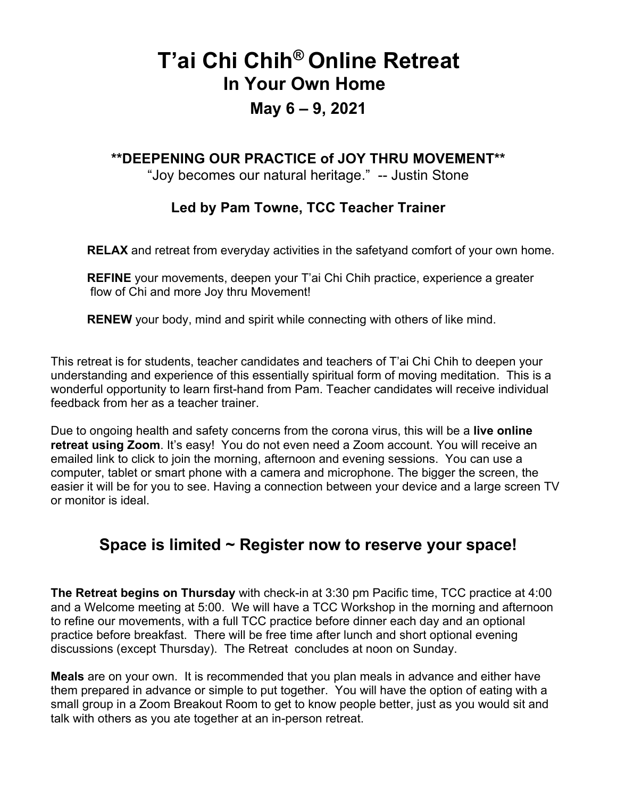# **T'ai Chi Chih® Online Retreat In Your Own Home**

## **May 6 – 9, 2021**

#### **\*\*DEEPENING OUR PRACTICE of JOY THRU MOVEMENT\*\***

"Joy becomes our natural heritage." -- Justin Stone

#### **Led by Pam Towne, TCC Teacher Trainer**

**RELAX** and retreat from everyday activities in the safetyand comfort of your own home.

**REFINE** your movements, deepen your T'ai Chi Chih practice, experience a greater flow of Chi and more Joy thru Movement!

**RENEW** your body, mind and spirit while connecting with others of like mind.

This retreat is for students, teacher candidates and teachers of T'ai Chi Chih to deepen your understanding and experience of this essentially spiritual form of moving meditation. This is a wonderful opportunity to learn first-hand from Pam. Teacher candidates will receive individual feedback from her as a teacher trainer.

Due to ongoing health and safety concerns from the corona virus, this will be a **live online retreat using Zoom.** It's easy! You do not even need a Zoom account. You will receive an emailed link to click to join the morning, afternoon and evening sessions. You can use a computer, tablet or smart phone with a camera and microphone. The bigger the screen, the easier it will be for you to see. Having a connection between your device and a large screen TV or monitor is ideal.

#### **Space is limited ~ Register now to reserve your space!**

**The Retreat begins on Thursday** with check-in at 3:30 pm Pacific time, TCC practice at 4:00 and a Welcome meeting at 5:00. We will have a TCC Workshop in the morning and afternoon to refine our movements, with a full TCC practice before dinner each day and an optional practice before breakfast. There will be free time after lunch and short optional evening discussions (except Thursday). The Retreat concludes at noon on Sunday.

**Meals** are on your own. It is recommended that you plan meals in advance and either have them prepared in advance or simple to put together. You will have the option of eating with a small group in a Zoom Breakout Room to get to know people better, just as you would sit and talk with others as you ate together at an in-person retreat.